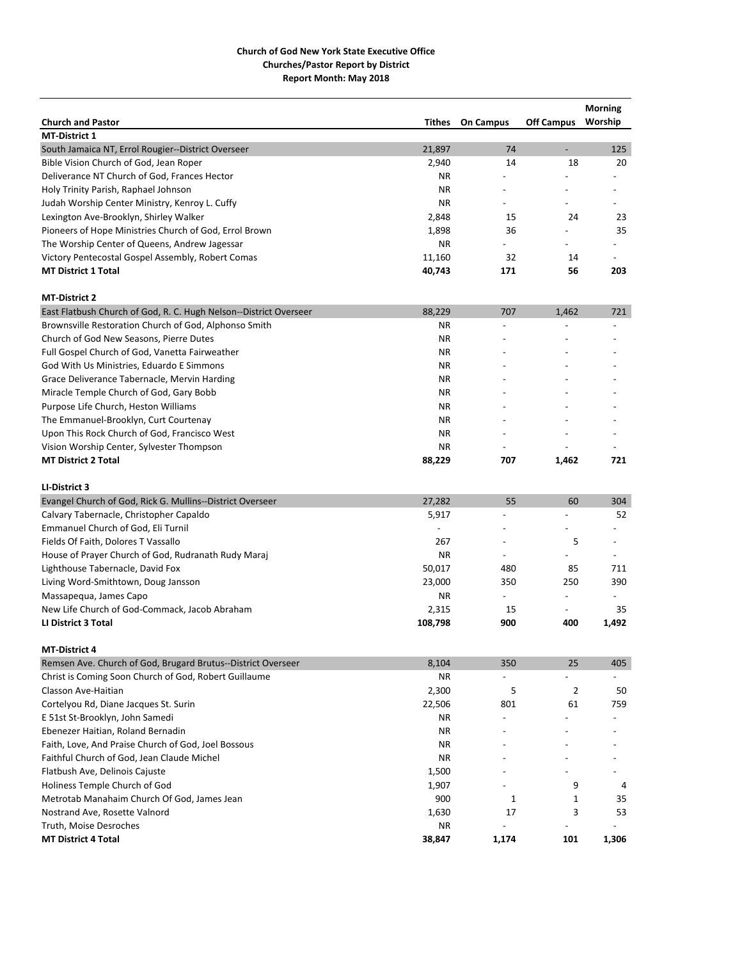|                                                                   |           |                          |                          | <b>Morning</b> |
|-------------------------------------------------------------------|-----------|--------------------------|--------------------------|----------------|
| <b>Church and Pastor</b>                                          | Tithes    | <b>On Campus</b>         | <b>Off Campus</b>        | Worship        |
| <b>MT-District 1</b>                                              |           |                          |                          |                |
| South Jamaica NT, Errol Rougier--District Overseer                | 21,897    | 74                       | $\overline{a}$           | 125            |
| Bible Vision Church of God, Jean Roper                            | 2,940     | 14                       | 18                       | 20             |
| Deliverance NT Church of God, Frances Hector                      | ΝR        |                          |                          |                |
| Holy Trinity Parish, Raphael Johnson                              | <b>NR</b> |                          |                          |                |
| Judah Worship Center Ministry, Kenroy L. Cuffy                    | <b>NR</b> |                          |                          |                |
| Lexington Ave-Brooklyn, Shirley Walker                            | 2,848     | 15                       | 24                       | 23             |
| Pioneers of Hope Ministries Church of God, Errol Brown            | 1,898     | 36                       |                          | 35             |
| The Worship Center of Queens, Andrew Jagessar                     | ΝR        |                          |                          |                |
| Victory Pentecostal Gospel Assembly, Robert Comas                 | 11,160    | 32                       | 14                       |                |
| <b>MT District 1 Total</b>                                        | 40,743    | 171                      | 56                       | 203            |
| <b>MT-District 2</b>                                              |           |                          |                          |                |
| East Flatbush Church of God, R. C. Hugh Nelson--District Overseer | 88,229    | 707                      | 1,462                    | 721            |
| Brownsville Restoration Church of God, Alphonso Smith             | <b>NR</b> |                          |                          |                |
| Church of God New Seasons, Pierre Dutes                           | ΝR        |                          |                          |                |
| Full Gospel Church of God, Vanetta Fairweather                    | <b>NR</b> |                          |                          |                |
| God With Us Ministries, Eduardo E Simmons                         | ΝR        |                          |                          |                |
| Grace Deliverance Tabernacle, Mervin Harding                      | NR.       |                          |                          |                |
| Miracle Temple Church of God, Gary Bobb                           | ΝR        |                          |                          |                |
| Purpose Life Church, Heston Williams                              | <b>NR</b> |                          |                          |                |
| The Emmanuel-Brooklyn, Curt Courtenay                             | ΝR        |                          |                          |                |
| Upon This Rock Church of God, Francisco West                      | NR.       |                          |                          |                |
| Vision Worship Center, Sylvester Thompson                         | NR.       |                          |                          |                |
| <b>MT District 2 Total</b>                                        | 88,229    | 707                      | 1,462                    | 721            |
| LI-District 3                                                     |           |                          |                          |                |
| Evangel Church of God, Rick G. Mullins--District Overseer         | 27,282    | 55                       | 60                       | 304            |
| Calvary Tabernacle, Christopher Capaldo                           | 5,917     |                          |                          | 52             |
| Emmanuel Church of God, Eli Turnil                                |           |                          |                          |                |
| Fields Of Faith, Dolores T Vassallo                               | 267       |                          | 5                        |                |
| House of Prayer Church of God, Rudranath Rudy Maraj               | <b>NR</b> | $\overline{\phantom{a}}$ |                          |                |
| Lighthouse Tabernacle, David Fox                                  | 50,017    | 480                      | 85                       | 711            |
| Living Word-Smithtown, Doug Jansson                               | 23,000    | 350                      | 250                      | 390            |
| Massapequa, James Capo                                            | ΝR        |                          | $\overline{\phantom{a}}$ |                |
| New Life Church of God-Commack, Jacob Abraham                     | 2,315     | 15                       | $\overline{\phantom{a}}$ | 35             |
| <b>LI District 3 Total</b>                                        | 108,798   | 900                      | 400                      | 1,492          |
| <b>MT-District 4</b>                                              |           |                          |                          |                |
| Remsen Ave. Church of God, Brugard Brutus--District Overseer      | 8,104     | 350                      | 25                       | 405            |
| Christ is Coming Soon Church of God, Robert Guillaume             | ΝR        |                          |                          |                |
| Classon Ave-Haitian                                               | 2,300     | 5                        | 2                        | 50             |
| Cortelyou Rd, Diane Jacques St. Surin                             | 22,506    | 801                      | 61                       | 759            |
| E 51st St-Brooklyn, John Samedi                                   | ΝR        |                          |                          |                |
| Ebenezer Haitian, Roland Bernadin                                 | ΝR        |                          |                          |                |
| Faith, Love, And Praise Church of God, Joel Bossous               | NR.       |                          |                          |                |
| Faithful Church of God, Jean Claude Michel                        | NR.       |                          |                          |                |
| Flatbush Ave, Delinois Cajuste                                    | 1,500     |                          |                          |                |
| Holiness Temple Church of God                                     | 1,907     |                          | 9                        | 4              |
| Metrotab Manahaim Church Of God, James Jean                       | 900       | 1                        | 1                        | 35             |
| Nostrand Ave, Rosette Valnord                                     | 1,630     | 17                       | 3                        | 53             |
| Truth, Moise Desroches                                            | ΝR        |                          |                          |                |
| <b>MT District 4 Total</b>                                        | 38,847    | 1,174                    | 101                      | 1,306          |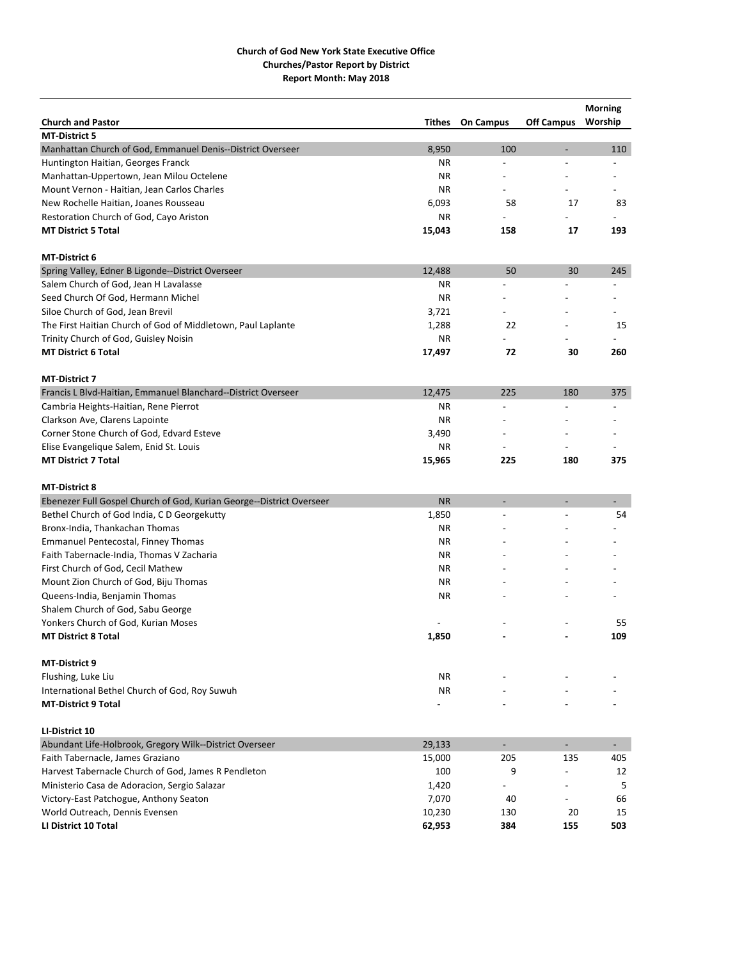|                                                                      |           |                          |                          | <b>Morning</b>           |
|----------------------------------------------------------------------|-----------|--------------------------|--------------------------|--------------------------|
| <b>Church and Pastor</b>                                             | Tithes    | <b>On Campus</b>         | <b>Off Campus</b>        | Worship                  |
| <b>MT-District 5</b>                                                 |           |                          |                          |                          |
| Manhattan Church of God, Emmanuel Denis--District Overseer           | 8,950     | 100                      | $\overline{a}$           | 110                      |
| Huntington Haitian, Georges Franck                                   | ΝR        | L,                       | $\overline{a}$           |                          |
| Manhattan-Uppertown, Jean Milou Octelene                             | ΝR        | $\overline{a}$           |                          |                          |
| Mount Vernon - Haitian, Jean Carlos Charles                          | <b>NR</b> | $\overline{a}$           |                          |                          |
| New Rochelle Haitian, Joanes Rousseau                                | 6,093     | 58                       | 17                       | 83                       |
| Restoration Church of God, Cayo Ariston                              | <b>NR</b> |                          |                          |                          |
| <b>MT District 5 Total</b>                                           | 15,043    | 158                      | 17                       | 193                      |
| <b>MT-District 6</b>                                                 |           |                          |                          |                          |
| Spring Valley, Edner B Ligonde--District Overseer                    | 12,488    | 50                       | 30                       | 245                      |
| Salem Church of God, Jean H Lavalasse                                | ΝR        | L,                       |                          |                          |
| Seed Church Of God, Hermann Michel                                   | <b>NR</b> |                          |                          |                          |
| Siloe Church of God, Jean Brevil                                     | 3,721     |                          |                          |                          |
| The First Haitian Church of God of Middletown, Paul Laplante         | 1,288     | 22                       |                          | 15                       |
| Trinity Church of God, Guisley Noisin                                | <b>NR</b> |                          |                          |                          |
| <b>MT District 6 Total</b>                                           | 17,497    | 72                       | 30                       | 260                      |
| <b>MT-District 7</b>                                                 |           |                          |                          |                          |
| Francis L Blvd-Haitian, Emmanuel Blanchard--District Overseer        | 12,475    | 225                      | 180                      | 375                      |
| Cambria Heights-Haitian, Rene Pierrot                                | <b>NR</b> | $\overline{\phantom{a}}$ |                          | $\overline{\phantom{a}}$ |
| Clarkson Ave, Clarens Lapointe                                       | <b>NR</b> |                          |                          |                          |
| Corner Stone Church of God, Edvard Esteve                            | 3,490     |                          |                          |                          |
| Elise Evangelique Salem, Enid St. Louis                              | <b>NR</b> |                          |                          |                          |
| <b>MT District 7 Total</b>                                           | 15,965    | 225                      | 180                      | 375                      |
|                                                                      |           |                          |                          |                          |
| <b>MT-District 8</b>                                                 |           |                          |                          |                          |
| Ebenezer Full Gospel Church of God, Kurian George--District Overseer | <b>NR</b> |                          |                          |                          |
| Bethel Church of God India, C D Georgekutty                          | 1,850     |                          |                          | 54                       |
| Bronx-India, Thankachan Thomas                                       | NR.       |                          |                          |                          |
| <b>Emmanuel Pentecostal, Finney Thomas</b>                           | ΝR        |                          |                          |                          |
| Faith Tabernacle-India, Thomas V Zacharia                            | <b>NR</b> |                          |                          |                          |
| First Church of God, Cecil Mathew                                    | ΝR        |                          |                          |                          |
| Mount Zion Church of God, Biju Thomas                                | ΝR        |                          |                          |                          |
| Queens-India, Benjamin Thomas                                        | <b>NR</b> |                          |                          |                          |
| Shalem Church of God, Sabu George                                    |           |                          |                          |                          |
| Yonkers Church of God, Kurian Moses                                  |           |                          |                          | 55                       |
| <b>MT District 8 Total</b>                                           | 1,850     |                          |                          | 109                      |
|                                                                      |           |                          |                          |                          |
| <b>MT-District 9</b>                                                 |           |                          |                          |                          |
| Flushing, Luke Liu                                                   | NR        |                          |                          |                          |
| International Bethel Church of God, Roy Suwuh                        | <b>NR</b> |                          |                          |                          |
| <b>MT-District 9 Total</b>                                           |           |                          |                          |                          |
| LI-District 10                                                       |           |                          |                          |                          |
| Abundant Life-Holbrook, Gregory Wilk--District Overseer              | 29,133    | $\blacksquare$           | $\overline{\phantom{a}}$ | $\sim$                   |
| Faith Tabernacle, James Graziano                                     | 15,000    | 205                      | 135                      | 405                      |
| Harvest Tabernacle Church of God, James R Pendleton                  | 100       | 9                        |                          | 12                       |
| Ministerio Casa de Adoracion, Sergio Salazar                         | 1,420     |                          |                          | 5                        |
| Victory-East Patchogue, Anthony Seaton                               | 7,070     | 40                       | $\overline{a}$           | 66                       |
| World Outreach, Dennis Evensen                                       | 10,230    | 130                      | 20                       | 15                       |
| LI District 10 Total                                                 | 62,953    | 384                      | 155                      | 503                      |
|                                                                      |           |                          |                          |                          |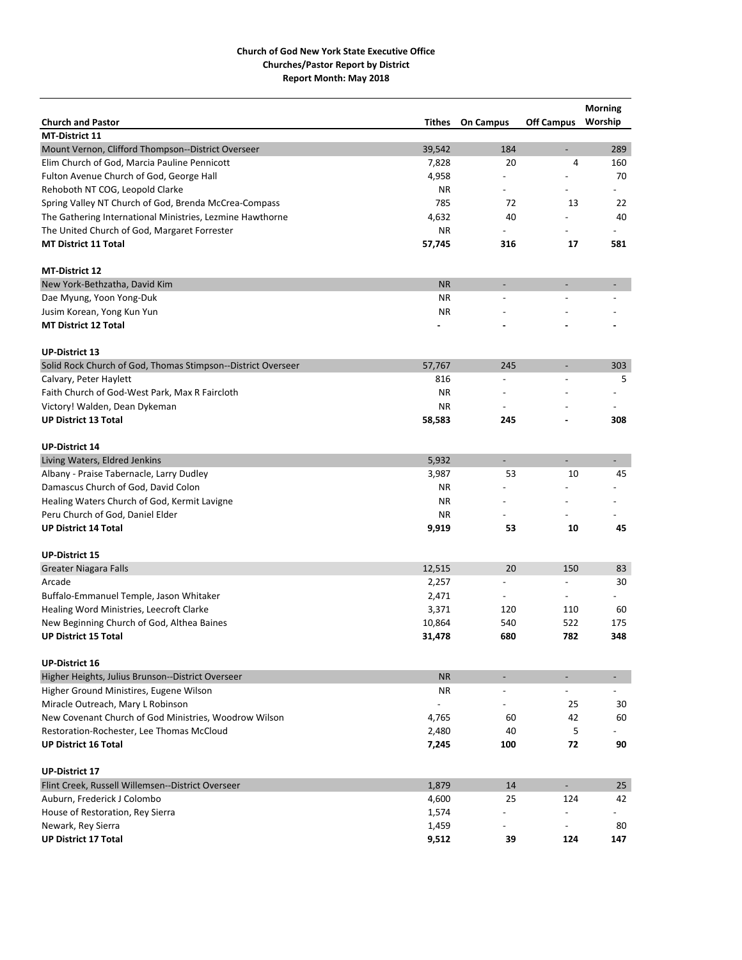|                                                              |           |                          |                          | <b>Morning</b>           |
|--------------------------------------------------------------|-----------|--------------------------|--------------------------|--------------------------|
| <b>Church and Pastor</b>                                     | Tithes    | <b>On Campus</b>         | <b>Off Campus</b>        | Worship                  |
| <b>MT-District 11</b>                                        |           |                          |                          |                          |
| Mount Vernon, Clifford Thompson--District Overseer           | 39,542    | 184                      | $\overline{a}$           | 289                      |
| Elim Church of God, Marcia Pauline Pennicott                 | 7,828     | 20                       | 4                        | 160                      |
| Fulton Avenue Church of God, George Hall                     | 4,958     | $\overline{a}$           |                          | 70                       |
| Rehoboth NT COG, Leopold Clarke                              | ΝR        |                          |                          |                          |
| Spring Valley NT Church of God, Brenda McCrea-Compass        | 785       | 72                       | 13                       | 22                       |
| The Gathering International Ministries, Lezmine Hawthorne    | 4,632     | 40                       |                          | 40                       |
| The United Church of God, Margaret Forrester                 | ΝR        |                          |                          |                          |
| <b>MT District 11 Total</b>                                  | 57,745    | 316                      | 17                       | 581                      |
| <b>MT-District 12</b>                                        |           |                          |                          |                          |
| New York-Bethzatha, David Kim                                | <b>NR</b> | $\overline{\phantom{a}}$ | $\overline{a}$           |                          |
| Dae Myung, Yoon Yong-Duk                                     | <b>NR</b> |                          |                          |                          |
| Jusim Korean, Yong Kun Yun                                   | <b>NR</b> |                          |                          |                          |
| <b>MT District 12 Total</b>                                  |           |                          |                          |                          |
| <b>UP-District 13</b>                                        |           |                          |                          |                          |
| Solid Rock Church of God, Thomas Stimpson--District Overseer | 57,767    | 245                      |                          | 303                      |
| Calvary, Peter Haylett                                       | 816       |                          |                          | 5                        |
| Faith Church of God-West Park, Max R Faircloth               | <b>NR</b> |                          |                          |                          |
| Victory! Walden, Dean Dykeman                                | ΝR        |                          |                          |                          |
| <b>UP District 13 Total</b>                                  | 58,583    | 245                      |                          | 308                      |
| <b>UP-District 14</b>                                        |           |                          |                          |                          |
| Living Waters, Eldred Jenkins                                | 5,932     |                          |                          | $\overline{\phantom{a}}$ |
| Albany - Praise Tabernacle, Larry Dudley                     | 3,987     | 53                       | 10                       | 45                       |
| Damascus Church of God, David Colon                          | ΝR        |                          |                          |                          |
| Healing Waters Church of God, Kermit Lavigne                 | ΝR        |                          |                          |                          |
| Peru Church of God, Daniel Elder                             | <b>NR</b> |                          |                          |                          |
| <b>UP District 14 Total</b>                                  |           | 53                       | 10                       | 45                       |
|                                                              | 9,919     |                          |                          |                          |
| <b>UP-District 15</b>                                        |           |                          |                          |                          |
| <b>Greater Niagara Falls</b>                                 | 12,515    | 20                       | 150                      | 83                       |
| Arcade                                                       | 2,257     | $\overline{\phantom{a}}$ | $\overline{a}$           | 30                       |
| Buffalo-Emmanuel Temple, Jason Whitaker                      | 2,471     | $\overline{\phantom{a}}$ | $\overline{\phantom{a}}$ |                          |
| Healing Word Ministries, Leecroft Clarke                     | 3,371     | 120                      | 110                      | 60                       |
| New Beginning Church of God, Althea Baines                   | 10,864    | 540                      | 522                      | 175                      |
| <b>UP District 15 Total</b>                                  | 31,478    | 680                      | 782                      | 348                      |
| <b>UP-District 16</b>                                        |           |                          |                          |                          |
| Higher Heights, Julius Brunson--District Overseer            | <b>NR</b> |                          |                          |                          |
| Higher Ground Ministires, Eugene Wilson                      | ΝR        | $\overline{\phantom{a}}$ |                          |                          |
| Miracle Outreach, Mary L Robinson                            |           |                          | 25                       | 30                       |
| New Covenant Church of God Ministries, Woodrow Wilson        | 4,765     | 60                       | 42                       | 60                       |
| Restoration-Rochester, Lee Thomas McCloud                    | 2,480     | 40                       | 5                        |                          |
| <b>UP District 16 Total</b>                                  | 7,245     | 100                      | 72                       | 90                       |
| <b>UP-District 17</b>                                        |           |                          |                          |                          |
| Flint Creek, Russell Willemsen--District Overseer            | 1,879     | 14                       | $\blacksquare$           | 25                       |
| Auburn, Frederick J Colombo                                  | 4,600     | 25                       | 124                      | 42                       |
| House of Restoration, Rey Sierra                             | 1,574     |                          |                          |                          |
| Newark, Rey Sierra                                           | 1,459     |                          |                          | 80                       |
| <b>UP District 17 Total</b>                                  | 9,512     | 39                       | 124                      | 147                      |
|                                                              |           |                          |                          |                          |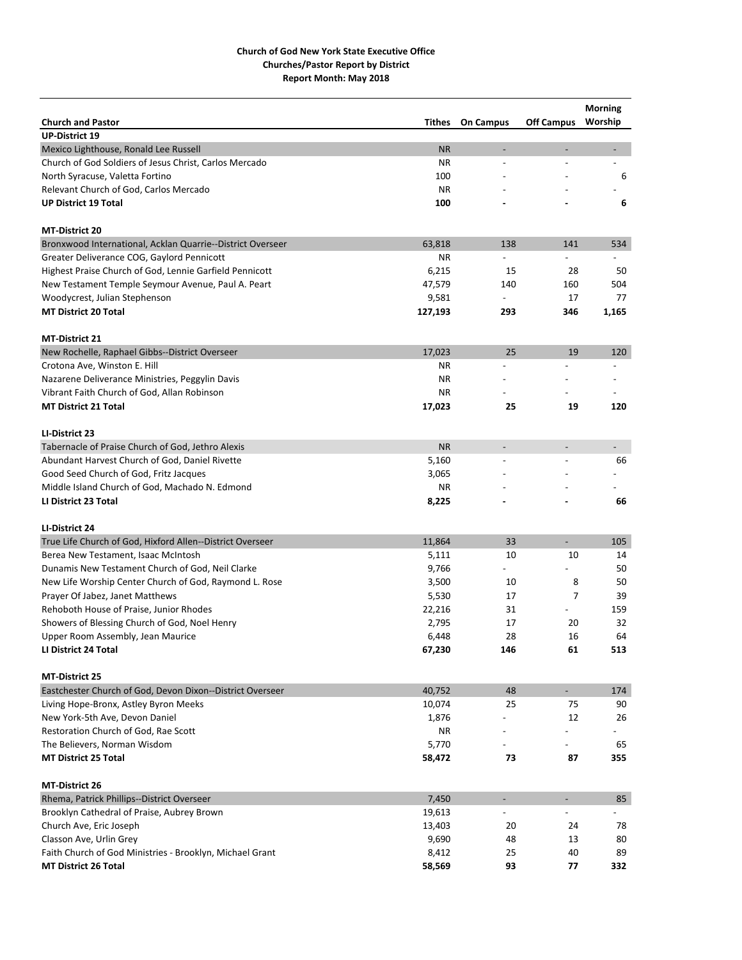|                                                            |           |                          |                          | <b>Morning</b>           |
|------------------------------------------------------------|-----------|--------------------------|--------------------------|--------------------------|
| <b>Church and Pastor</b>                                   | Tithes    | <b>On Campus</b>         | <b>Off Campus</b>        | Worship                  |
| <b>UP-District 19</b>                                      |           |                          |                          |                          |
| Mexico Lighthouse, Ronald Lee Russell                      | <b>NR</b> | $\overline{a}$           | $\overline{a}$           | $\overline{\phantom{a}}$ |
| Church of God Soldiers of Jesus Christ, Carlos Mercado     | <b>NR</b> | $\overline{a}$           |                          | $\overline{a}$           |
| North Syracuse, Valetta Fortino                            | 100       |                          |                          | 6                        |
| Relevant Church of God, Carlos Mercado                     | <b>NR</b> |                          |                          |                          |
| <b>UP District 19 Total</b>                                | 100       |                          |                          | 6                        |
| <b>MT-District 20</b>                                      |           |                          |                          |                          |
| Bronxwood International, Acklan Quarrie--District Overseer | 63,818    | 138                      | 141                      | 534                      |
| Greater Deliverance COG, Gaylord Pennicott                 | <b>NR</b> |                          |                          |                          |
| Highest Praise Church of God, Lennie Garfield Pennicott    | 6,215     | 15                       | 28                       | 50                       |
| New Testament Temple Seymour Avenue, Paul A. Peart         | 47,579    | 140                      | 160                      | 504                      |
| Woodycrest, Julian Stephenson                              | 9,581     |                          | 17                       | 77                       |
| <b>MT District 20 Total</b>                                | 127,193   | 293                      | 346                      | 1,165                    |
| <b>MT-District 21</b>                                      |           |                          |                          |                          |
| New Rochelle, Raphael Gibbs--District Overseer             | 17,023    | 25                       | 19                       | 120                      |
| Crotona Ave, Winston E. Hill                               | ΝR        | L,                       |                          | $\overline{a}$           |
| Nazarene Deliverance Ministries, Peggylin Davis            | <b>NR</b> |                          |                          |                          |
| Vibrant Faith Church of God, Allan Robinson                | ΝR        |                          |                          |                          |
| <b>MT District 21 Total</b>                                | 17,023    | 25                       | 19                       | 120                      |
| LI-District 23                                             |           |                          |                          |                          |
| Tabernacle of Praise Church of God, Jethro Alexis          | <b>NR</b> |                          | $\overline{a}$           |                          |
| Abundant Harvest Church of God, Daniel Rivette             | 5,160     | ÷,                       |                          | 66                       |
| Good Seed Church of God, Fritz Jacques                     | 3,065     |                          |                          |                          |
| Middle Island Church of God, Machado N. Edmond             | ΝR        |                          |                          |                          |
| LI District 23 Total                                       | 8,225     |                          |                          | 66                       |
| LI-District 24                                             |           |                          |                          |                          |
| True Life Church of God, Hixford Allen--District Overseer  | 11,864    | 33                       | $\overline{\phantom{a}}$ | 105                      |
| Berea New Testament, Isaac McIntosh                        | 5,111     | 10                       | 10                       | 14                       |
| Dunamis New Testament Church of God, Neil Clarke           | 9,766     | $\overline{\phantom{0}}$ |                          | 50                       |
| New Life Worship Center Church of God, Raymond L. Rose     | 3,500     | 10                       | 8                        | 50                       |
| Prayer Of Jabez, Janet Matthews                            | 5,530     | 17                       | 7                        | 39                       |
| Rehoboth House of Praise, Junior Rhodes                    | 22,216    | 31                       |                          | 159                      |
| Showers of Blessing Church of God, Noel Henry              | 2,795     | 17                       | 20                       | 32                       |
| Upper Room Assembly, Jean Maurice                          | 6,448     | 28                       | 16                       | 64                       |
| LI District 24 Total                                       | 67,230    | 146                      | 61                       | 513                      |
| <b>MT-District 25</b>                                      |           |                          |                          |                          |
| Eastchester Church of God, Devon Dixon--District Overseer  | 40,752    | 48                       | $\sim$                   | 174                      |
| Living Hope-Bronx, Astley Byron Meeks                      | 10,074    | 25                       | 75                       | 90                       |
| New York-5th Ave, Devon Daniel                             | 1,876     |                          | 12                       | 26                       |
| Restoration Church of God, Rae Scott                       | NR        |                          |                          |                          |
| The Believers, Norman Wisdom                               | 5,770     |                          |                          | 65                       |
| <b>MT District 25 Total</b>                                | 58,472    | 73                       | 87                       | 355                      |
| <b>MT-District 26</b>                                      |           |                          |                          |                          |
| Rhema, Patrick Phillips--District Overseer                 | 7,450     | $\overline{\phantom{a}}$ | $\overline{\phantom{a}}$ | 85                       |
| Brooklyn Cathedral of Praise, Aubrey Brown                 | 19,613    |                          |                          |                          |
| Church Ave, Eric Joseph                                    | 13,403    | 20                       | 24                       | 78                       |
| Classon Ave, Urlin Grey                                    | 9,690     | 48                       | 13                       | 80                       |
| Faith Church of God Ministries - Brooklyn, Michael Grant   | 8,412     | 25                       | 40                       | 89                       |
| <b>MT District 26 Total</b>                                | 58,569    | 93                       | 77                       | 332                      |